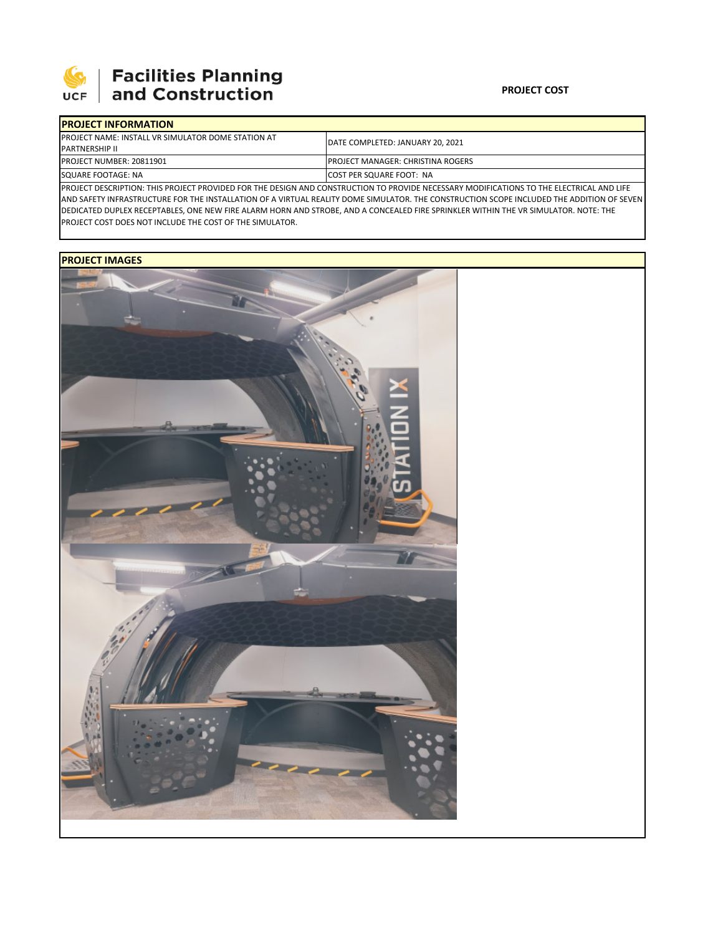

## **PROJECT COST**

| <b>IPROJECT INFORMATION</b>                                |                                                                                                                                           |  |  |  |
|------------------------------------------------------------|-------------------------------------------------------------------------------------------------------------------------------------------|--|--|--|
| <b>IPROJECT NAME: INSTALL VR SIMULATOR DOME STATION AT</b> | DATE COMPLETED: JANUARY 20, 2021                                                                                                          |  |  |  |
| <b>IPARTNERSHIP II</b>                                     |                                                                                                                                           |  |  |  |
| PROJECT NUMBER: 20811901                                   | <b>IPROJECT MANAGER: CHRISTINA ROGERS</b><br><b>ICOST PER SQUARE FOOT: NA</b>                                                             |  |  |  |
| SQUARE FOOTAGE: NA                                         |                                                                                                                                           |  |  |  |
|                                                            | IDROIFCT DESCRIPTION: THIS DROIFCT DROVIDED EOR THE DESIGN AND CONSTRUCTION TO DROVIDE NECESSARY MODIFICATIONS TO THE ELECTRICAL AND LIFE |  |  |  |

ISTRUCTION TO PROVI AND SAFETY INFRASTRUCTURE FOR THE INSTALLATION OF A VIRTUAL REALITY DOME SIMULATOR. THE CONSTRUCTION SCOPE INCLUDED THE ADDITION OF SEVEN DEDICATED DUPLEX RECEPTABLES, ONE NEW FIRE ALARM HORN AND STROBE, AND A CONCEALED FIRE SPRINKLER WITHIN THE VR SIMULATOR. NOTE: THE PROJECT COST DOES NOT INCLUDE THE COST OF THE SIMULATOR.

## **PROJECT IMAGES**